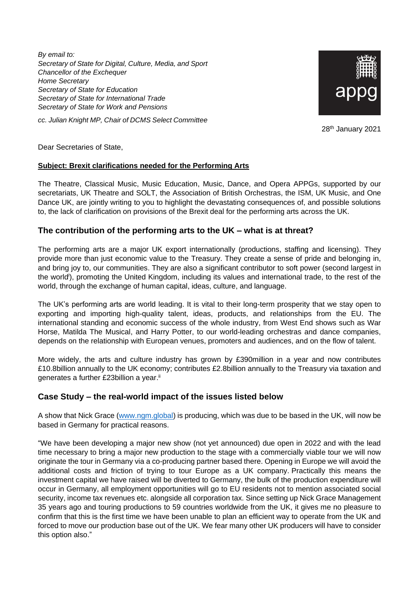*By email to: Secretary of State for Digital, Culture, Media, and Sport Chancellor of the Exchequer Home Secretary Secretary of State for Education Secretary of State for International Trade Secretary of State for Work and Pensions*

*cc. Julian Knight MP, Chair of DCMS Select Committee*



28<sup>th</sup> January 2021

Dear Secretaries of State,

### **Subject: Brexit clarifications needed for the Performing Arts**

The Theatre, Classical Music, Music Education, Music, Dance, and Opera APPGs, supported by our secretariats, UK Theatre and SOLT, the Association of British Orchestras, the ISM, UK Music, and One Dance UK, are jointly writing to you to highlight the devastating consequences of, and possible solutions to, the lack of clarification on provisions of the Brexit deal for the performing arts across the UK.

### **The contribution of the performing arts to the UK – what is at threat?**

The performing arts are a major UK export internationally (productions, staffing and licensing). They provide more than just economic value to the Treasury. They create a sense of pride and belonging in, and bring joy to, our communities. They are also a significant contributor to soft power (second largest in the world<sup>i</sup>), promoting the United Kingdom, including its values and international trade, to the rest of the world, through the exchange of human capital, ideas, culture, and language.

The UK's performing arts are world leading. It is vital to their long-term prosperity that we stay open to exporting and importing high-quality talent, ideas, products, and relationships from the EU. The international standing and economic success of the whole industry, from West End shows such as War Horse, Matilda The Musical, and Harry Potter, to our world-leading orchestras and dance companies, depends on the relationship with European venues, promoters and audiences, and on the flow of talent.

More widely, the arts and culture industry has grown by £390million in a year and now contributes £10.8billion annually to the UK economy; contributes £2.8billion annually to the Treasury via taxation and generates a further £23billion a year.<sup>ii</sup>

### **Case Study – the real-world impact of the issues listed below**

A show that Nick Grace [\(www.ngm.global\)](https://linkprotect.cudasvc.com/url?a=http%3a%2f%2fwww.ngm.global&c=E,1,4ckYuhgLea0_BTAQnEYIXdgJu_ztOJ-MWLSM6iHB-93ucdnvTAtW0sBuWcY5hflrreYzecu6TdvmPcf6Z5uE-VrrjHxcfwS2O8KPBrDD33292Lj-vTM,&typo=1) is producing, which was due to be based in the UK, will now be based in Germany for practical reasons.

"We have been developing a major new show (not yet announced) due open in 2022 and with the lead time necessary to bring a major new production to the stage with a commercially viable tour we will now originate the tour in Germany via a co-producing partner based there. Opening in Europe we will avoid the additional costs and friction of trying to tour Europe as a UK company. Practically this means the investment capital we have raised will be diverted to Germany, the bulk of the production expenditure will occur in Germany, all employment opportunities will go to EU residents not to mention associated social security, income tax revenues etc. alongside all corporation tax. Since setting up Nick Grace Management 35 years ago and touring productions to 59 countries worldwide from the UK, it gives me no pleasure to confirm that this is the first time we have been unable to plan an efficient way to operate from the UK and forced to move our production base out of the UK. We fear many other UK producers will have to consider this option also."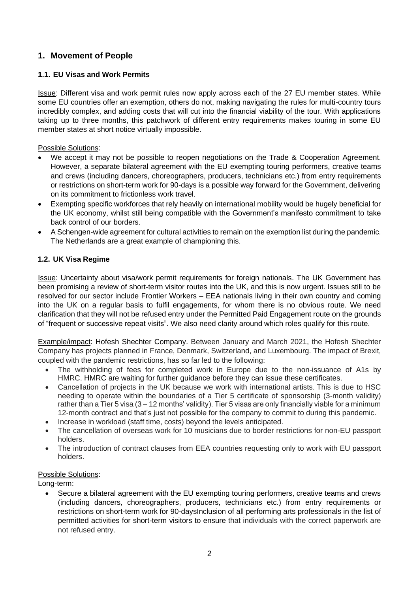# **1. Movement of People**

## **1.1. EU Visas and Work Permits**

Issue: Different visa and work permit rules now apply across each of the 27 EU member states. While some EU countries offer an exemption, others do not, making navigating the rules for multi-country tours incredibly complex, and adding costs that will cut into the financial viability of the tour. With applications taking up to three months, this patchwork of different entry requirements makes touring in some EU member states at short notice virtually impossible.

Possible Solutions:

- We accept it may not be possible to reopen negotiations on the Trade & Cooperation Agreement. However, a separate bilateral agreement with the EU exempting touring performers, creative teams and crews (including dancers, choreographers, producers, technicians etc.) from entry requirements or restrictions on short-term work for 90-days is a possible way forward for the Government, delivering on its commitment to frictionless work travel.
- Exempting specific workforces that rely heavily on international mobility would be hugely beneficial for the UK economy, whilst still being compatible with the Government's manifesto commitment to take back control of our borders.
- A Schengen-wide agreement for cultural activities to remain on the exemption list during the pandemic. The Netherlands are a great example of championing this.

### **1.2. UK Visa Regime**

Issue: Uncertainty about visa/work permit requirements for foreign nationals. The UK Government has been promising a review of short-term visitor routes into the UK, and this is now urgent. Issues still to be resolved for our sector include Frontier Workers – EEA nationals living in their own country and coming into the UK on a regular basis to fulfil engagements, for whom there is no obvious route. We need clarification that they will not be refused entry under the Permitted Paid Engagement route on the grounds of "frequent or successive repeat visits". We also need clarity around which roles qualify for this route.

Example/impact: Hofesh Shechter Company. Between January and March 2021, the Hofesh Shechter Company has projects planned in France, Denmark, Switzerland, and Luxembourg. The impact of Brexit, coupled with the pandemic restrictions, has so far led to the following:

- The withholding of fees for completed work in Europe due to the non-issuance of A1s by HMRC. HMRC are waiting for further guidance before they can issue these certificates.
- Cancellation of projects in the UK because we work with international artists. This is due to HSC needing to operate within the boundaries of a Tier 5 certificate of sponsorship (3-month validity) rather than a Tier 5 visa (3 – 12 months' validity). Tier 5 visas are only financially viable for a minimum 12-month contract and that's just not possible for the company to commit to during this pandemic.
- Increase in workload (staff time, costs) beyond the levels anticipated.
- The cancellation of overseas work for 10 musicians due to border restrictions for non-EU passport holders.
- The introduction of contract clauses from EEA countries requesting only to work with EU passport holders.

### Possible Solutions:

Long-term:

• Secure a bilateral agreement with the EU exempting touring performers, creative teams and crews (including dancers, choreographers, producers, technicians etc.) from entry requirements or restrictions on short-term work for 90-daysInclusion of all performing arts professionals in the list of permitted activities for short-term visitors to ensure that individuals with the correct paperwork are not refused entry.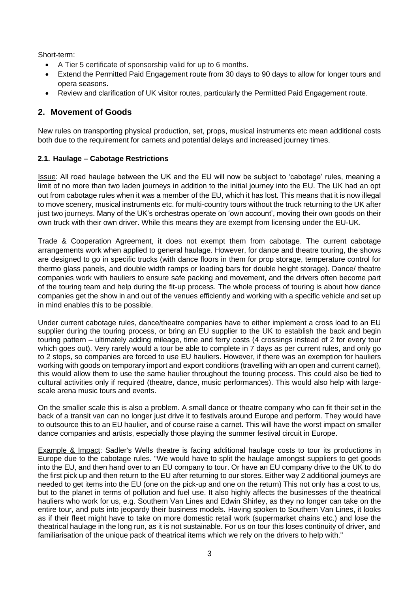Short-term:

- A Tier 5 certificate of sponsorship valid for up to 6 months.
- Extend the Permitted Paid Engagement route from 30 days to 90 days to allow for longer tours and opera seasons.
- Review and clarification of UK visitor routes, particularly the Permitted Paid Engagement route.

## **2. Movement of Goods**

New rules on transporting physical production, set, props, musical instruments etc mean additional costs both due to the requirement for carnets and potential delays and increased journey times.

### **2.1. Haulage – Cabotage Restrictions**

Issue: All road haulage between the UK and the EU will now be subject to 'cabotage' rules, meaning a limit of no more than two laden journeys in addition to the initial journey into the EU. The UK had an opt out from cabotage rules when it was a member of the EU, which it has lost. This means that it is now illegal to move scenery, musical instruments etc. for multi-country tours without the truck returning to the UK after just two journeys. Many of the UK's orchestras operate on 'own account', moving their own goods on their own truck with their own driver. While this means they are exempt from licensing under the EU-UK.

Trade & Cooperation Agreement, it does not exempt them from cabotage. The current cabotage arrangements work when applied to general haulage. However, for dance and theatre touring, the shows are designed to go in specific trucks (with dance floors in them for prop storage, temperature control for thermo glass panels, and double width ramps or loading bars for double height storage). Dance/ theatre companies work with hauliers to ensure safe packing and movement, and the drivers often become part of the touring team and help during the fit-up process. The whole process of touring is about how dance companies get the show in and out of the venues efficiently and working with a specific vehicle and set up in mind enables this to be possible.

Under current cabotage rules, dance/theatre companies have to either implement a cross load to an EU supplier during the touring process, or bring an EU supplier to the UK to establish the back and begin touring pattern – ultimately adding mileage, time and ferry costs (4 crossings instead of 2 for every tour which goes out). Very rarely would a tour be able to complete in 7 days as per current rules, and only go to 2 stops, so companies are forced to use EU hauliers. However, if there was an exemption for hauliers working with goods on temporary import and export conditions (travelling with an open and current carnet), this would allow them to use the same haulier throughout the touring process. This could also be tied to cultural activities only if required (theatre, dance, music performances). This would also help with largescale arena music tours and events.

On the smaller scale this is also a problem. A small dance or theatre company who can fit their set in the back of a transit van can no longer just drive it to festivals around Europe and perform. They would have to outsource this to an EU haulier, and of course raise a carnet. This will have the worst impact on smaller dance companies and artists, especially those playing the summer festival circuit in Europe.

Example & Impact: Sadler's Wells theatre is facing additional haulage costs to tour its productions in Europe due to the cabotage rules. "We would have to split the haulage amongst suppliers to get goods into the EU, and then hand over to an EU company to tour. Or have an EU company drive to the UK to do the first pick up and then return to the EU after returning to our stores. Either way 2 additional journeys are needed to get items into the EU (one on the pick-up and one on the return) This not only has a cost to us, but to the planet in terms of pollution and fuel use. It also highly affects the businesses of the theatrical hauliers who work for us, e.g. Southern Van Lines and Edwin Shirley, as they no longer can take on the entire tour, and puts into jeopardy their business models. Having spoken to Southern Van Lines, it looks as if their fleet might have to take on more domestic retail work (supermarket chains etc.) and lose the theatrical haulage in the long run, as it is not sustainable. For us on tour this loses continuity of driver, and familiarisation of the unique pack of theatrical items which we rely on the drivers to help with."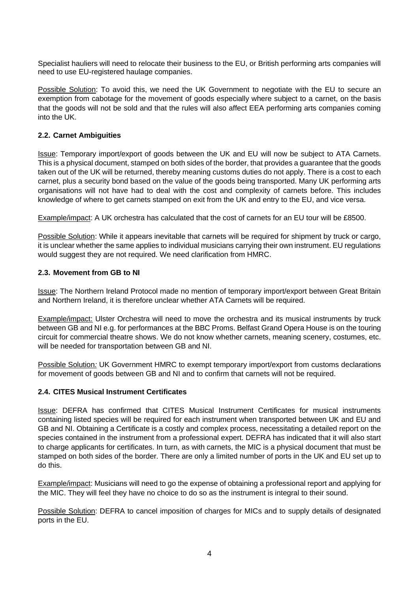Specialist hauliers will need to relocate their business to the EU, or British performing arts companies will need to use EU-registered haulage companies.

Possible Solution: To avoid this, we need the UK Government to negotiate with the EU to secure an exemption from cabotage for the movement of goods especially where subject to a carnet, on the basis that the goods will not be sold and that the rules will also affect EEA performing arts companies coming into the UK.

### **2.2. Carnet Ambiguities**

Issue: Temporary import/export of goods between the UK and EU will now be subject to ATA Carnets. This is a physical document, stamped on both sides of the border, that provides a guarantee that the goods taken out of the UK will be returned, thereby meaning customs duties do not apply. There is a cost to each carnet, plus a security bond based on the value of the goods being transported. Many UK performing arts organisations will not have had to deal with the cost and complexity of carnets before. This includes knowledge of where to get carnets stamped on exit from the UK and entry to the EU, and vice versa.

Example/impact: A UK orchestra has calculated that the cost of carnets for an EU tour will be £8500.

Possible Solution: While it appears inevitable that carnets will be required for shipment by truck or cargo, it is unclear whether the same applies to individual musicians carrying their own instrument. EU regulations would suggest they are not required. We need clarification from HMRC.

### **2.3. Movement from GB to NI**

Issue: The Northern Ireland Protocol made no mention of temporary import/export between Great Britain and Northern Ireland, it is therefore unclear whether ATA Carnets will be required.

Example/impact: Ulster Orchestra will need to move the orchestra and its musical instruments by truck between GB and NI e.g. for performances at the BBC Proms. Belfast Grand Opera House is on the touring circuit for commercial theatre shows. We do not know whether carnets, meaning scenery, costumes, etc. will be needed for transportation between GB and NI.

Possible Solution*:* UK Government HMRC to exempt temporary import/export from customs declarations for movement of goods between GB and NI and to confirm that carnets will not be required.

### **2.4. CITES Musical Instrument Certificates**

Issue: DEFRA has confirmed that CITES Musical Instrument Certificates for musical instruments containing listed species will be required for each instrument when transported between UK and EU and GB and NI. Obtaining a Certificate is a costly and complex process, necessitating a detailed report on the species contained in the instrument from a professional expert. DEFRA has indicated that it will also start to charge applicants for certificates. In turn, as with carnets, the MIC is a physical document that must be stamped on both sides of the border. There are only a limited number of ports in the UK and EU set up to do this.

Example/impact: Musicians will need to go the expense of obtaining a professional report and applying for the MIC. They will feel they have no choice to do so as the instrument is integral to their sound.

Possible Solution: DEFRA to cancel imposition of charges for MICs and to supply details of designated ports in the EU.